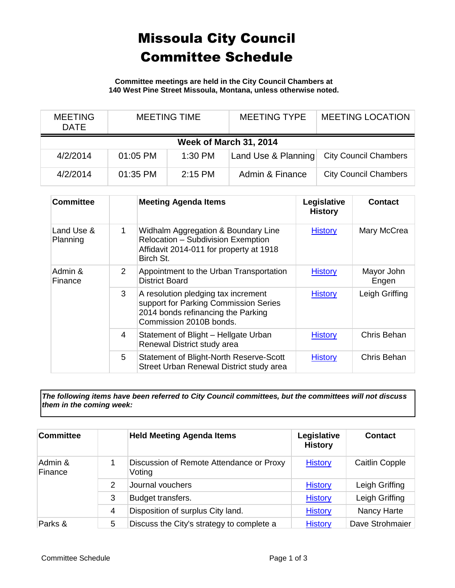## Missoula City Council Committee Schedule

**Committee meetings are held in the City Council Chambers at 140 West Pine Street Missoula, Montana, unless otherwise noted.**

| <b>MEETING</b><br><b>DATE</b> | <b>MEETING TIME</b> |           | <b>MEETING TYPE</b> | <b>MEETING LOCATION</b>      |  |  |
|-------------------------------|---------------------|-----------|---------------------|------------------------------|--|--|
| <b>Week of March 31, 2014</b> |                     |           |                     |                              |  |  |
| 4/2/2014                      | $01:05$ PM          | $1:30$ PM | Land Use & Planning | <b>City Council Chambers</b> |  |  |
| 4/2/2014                      | 01:35 PM            | $2:15$ PM | Admin & Finance     | <b>City Council Chambers</b> |  |  |

| <b>Committee</b>       |                | <b>Meeting Agenda Items</b>                                                                                                                   | Legislative<br><b>History</b> | <b>Contact</b>      |
|------------------------|----------------|-----------------------------------------------------------------------------------------------------------------------------------------------|-------------------------------|---------------------|
| Land Use &<br>Planning | $\mathbf{1}$   | Widhalm Aggregation & Boundary Line<br>Relocation - Subdivision Exemption<br>Affidavit 2014-011 for property at 1918<br>Birch St.             | <b>History</b>                | Mary McCrea         |
| Admin &<br>Finance     | $\overline{2}$ | Appointment to the Urban Transportation<br>District Board                                                                                     | <b>History</b>                | Mayor John<br>Engen |
|                        | 3              | A resolution pledging tax increment<br>support for Parking Commission Series<br>2014 bonds refinancing the Parking<br>Commission 2010B bonds. | <b>History</b>                | Leigh Griffing      |
|                        | 4              | Statement of Blight - Hellgate Urban<br>Renewal District study area                                                                           | <b>History</b>                | Chris Behan         |
|                        | 5              | Statement of Blight-North Reserve-Scott<br>Street Urban Renewal District study area                                                           | <b>History</b>                | Chris Behan         |

*The following items have been referred to City Council committees, but the committees will not discuss them in the coming week:*

| <b>Committee</b>   |               | <b>Held Meeting Agenda Items</b>                   | Legislative<br><b>History</b> | <b>Contact</b>        |
|--------------------|---------------|----------------------------------------------------|-------------------------------|-----------------------|
| Admin &<br>Finance |               | Discussion of Remote Attendance or Proxy<br>Voting | <b>History</b>                | <b>Caitlin Copple</b> |
|                    | $\mathcal{P}$ | Journal vouchers                                   | <b>History</b>                | Leigh Griffing        |
|                    | 3             | Budget transfers.                                  | <b>History</b>                | Leigh Griffing        |
|                    | 4             | Disposition of surplus City land.                  | <b>History</b>                | Nancy Harte           |
| Parks &            | 5             | Discuss the City's strategy to complete a          | <b>History</b>                | Dave Strohmaier       |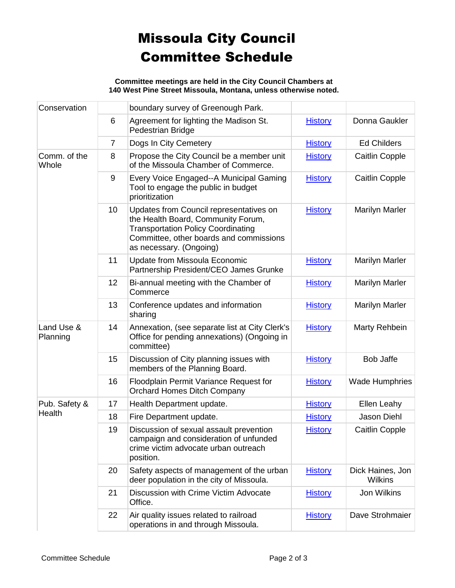## Missoula City Council Committee Schedule

**Committee meetings are held in the City Council Chambers at 140 West Pine Street Missoula, Montana, unless otherwise noted.**

| Conservation            |                | boundary survey of Greenough Park.                                                                                                                                                               |                |                                    |
|-------------------------|----------------|--------------------------------------------------------------------------------------------------------------------------------------------------------------------------------------------------|----------------|------------------------------------|
|                         | $6\phantom{1}$ | Agreement for lighting the Madison St.<br>Pedestrian Bridge                                                                                                                                      | <b>History</b> | Donna Gaukler                      |
|                         | $\overline{7}$ | Dogs In City Cemetery                                                                                                                                                                            | <b>History</b> | <b>Ed Childers</b>                 |
| Comm. of the<br>Whole   | 8              | Propose the City Council be a member unit<br>of the Missoula Chamber of Commerce.                                                                                                                | <b>History</b> | <b>Caitlin Copple</b>              |
|                         | 9              | Every Voice Engaged--A Municipal Gaming<br>Tool to engage the public in budget<br>prioritization                                                                                                 | <b>History</b> | <b>Caitlin Copple</b>              |
|                         | 10             | Updates from Council representatives on<br>the Health Board, Community Forum,<br><b>Transportation Policy Coordinating</b><br>Committee, other boards and commissions<br>as necessary. (Ongoing) | <b>History</b> | <b>Marilyn Marler</b>              |
|                         | 11             | Update from Missoula Economic<br>Partnership President/CEO James Grunke                                                                                                                          | <b>History</b> | <b>Marilyn Marler</b>              |
|                         | 12             | Bi-annual meeting with the Chamber of<br>Commerce                                                                                                                                                | <b>History</b> | <b>Marilyn Marler</b>              |
|                         | 13             | Conference updates and information<br>sharing                                                                                                                                                    | <b>History</b> | <b>Marilyn Marler</b>              |
| Land Use &<br>Planning  | 14             | Annexation, (see separate list at City Clerk's<br>Office for pending annexations) (Ongoing in<br>committee)                                                                                      | <b>History</b> | Marty Rehbein                      |
|                         | 15             | Discussion of City planning issues with<br>members of the Planning Board.                                                                                                                        | <b>History</b> | <b>Bob Jaffe</b>                   |
|                         | 16             | Floodplain Permit Variance Request for<br><b>Orchard Homes Ditch Company</b>                                                                                                                     | <b>History</b> | <b>Wade Humphries</b>              |
| Pub. Safety &<br>Health | 17             | Health Department update.                                                                                                                                                                        | <b>History</b> | Ellen Leahy                        |
|                         | 18             | Fire Department update.                                                                                                                                                                          | <b>History</b> | Jason Diehl                        |
|                         | 19             | Discussion of sexual assault prevention<br>campaign and consideration of unfunded<br>crime victim advocate urban outreach<br>position.                                                           | <b>History</b> | <b>Caitlin Copple</b>              |
|                         | 20             | Safety aspects of management of the urban<br>deer population in the city of Missoula.                                                                                                            | <b>History</b> | Dick Haines, Jon<br><b>Wilkins</b> |
|                         | 21             | Discussion with Crime Victim Advocate<br>Office.                                                                                                                                                 | <b>History</b> | Jon Wilkins                        |
|                         | 22             | Air quality issues related to railroad<br>operations in and through Missoula.                                                                                                                    | <b>History</b> | Dave Strohmaier                    |